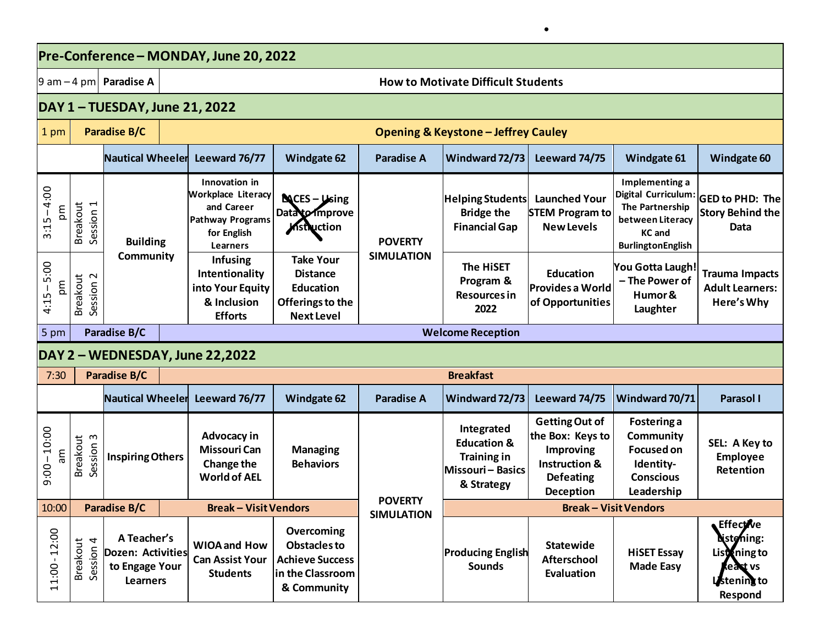| Pre-Conference - MONDAY, June 20, 2022 |                                                         |                                          |                                                                              |                                                                                                                |                                                                                                  |                                     |                                                                                             |                                                                                                                                   |                                                                                                                                  |                                                                                             |  |  |
|----------------------------------------|---------------------------------------------------------|------------------------------------------|------------------------------------------------------------------------------|----------------------------------------------------------------------------------------------------------------|--------------------------------------------------------------------------------------------------|-------------------------------------|---------------------------------------------------------------------------------------------|-----------------------------------------------------------------------------------------------------------------------------------|----------------------------------------------------------------------------------------------------------------------------------|---------------------------------------------------------------------------------------------|--|--|
|                                        |                                                         | $ 9 \text{ am}-4 \text{ pm} $ Paradise A |                                                                              | <b>How to Motivate Difficult Students</b>                                                                      |                                                                                                  |                                     |                                                                                             |                                                                                                                                   |                                                                                                                                  |                                                                                             |  |  |
|                                        |                                                         |                                          |                                                                              | DAY 1 - TUESDAY, June 21, 2022                                                                                 |                                                                                                  |                                     |                                                                                             |                                                                                                                                   |                                                                                                                                  |                                                                                             |  |  |
| 1 pm                                   |                                                         | <b>Paradise B/C</b>                      |                                                                              | <b>Opening &amp; Keystone - Jeffrey Cauley</b>                                                                 |                                                                                                  |                                     |                                                                                             |                                                                                                                                   |                                                                                                                                  |                                                                                             |  |  |
|                                        |                                                         | <b>Nautical Wheeler</b>                  |                                                                              | Leeward 76/77                                                                                                  | <b>Windgate 62</b>                                                                               | <b>Paradise A</b>                   | Windward 72/73                                                                              | Leeward 74/75                                                                                                                     | Windgate 61                                                                                                                      | Windgate 60                                                                                 |  |  |
| $3:15 - 4:00$<br>mo                    | <b>Breakout</b><br>$\overline{\phantom{0}}$<br>Session: |                                          | <b>Building</b>                                                              | Innovation in<br><b>Workplace Literacy</b><br>and Career<br><b>Pathway Programs</b><br>for English<br>Learners | $\text{NCES} - \text{Using}$<br>Data to Improve<br>Mstruction                                    | <b>POVERTY</b><br><b>SIMULATION</b> | Helping Students<br><b>Bridge the</b><br><b>Financial Gap</b>                               | <b>Launched Your</b><br><b>STEM Program to</b><br><b>New Levels</b>                                                               | Implementing a<br><b>Digital Curriculum:</b><br>The Partnership<br>between Literacy<br><b>KC</b> and<br><b>BurlingtonEnglish</b> | <b>GED to PHD: The</b><br><b>Story Behind the</b><br>Data                                   |  |  |
| 5:00<br>ma<br>$4:15 -$                 | <b>Breakout</b><br>$\sim$<br>Session                    | Community                                |                                                                              | <b>Infusing</b><br>Intentionality<br>into Your Equity<br>& Inclusion<br><b>Efforts</b>                         | <b>Take Your</b><br><b>Distance</b><br><b>Education</b><br>Offerings to the<br><b>Next Level</b> |                                     | The HiSET<br>Program &<br><b>Resources in</b><br>2022                                       | <b>Education</b><br><b>Provides a World</b><br>of Opportunities                                                                   | You Gotta Laugh!<br>- The Power of<br>Humor &<br>Laughter                                                                        | <b>Trauma Impacts</b><br><b>Adult Learners:</b><br>Here's Why                               |  |  |
| 5 pm                                   | Paradise B/C                                            |                                          |                                                                              | <b>Welcome Reception</b>                                                                                       |                                                                                                  |                                     |                                                                                             |                                                                                                                                   |                                                                                                                                  |                                                                                             |  |  |
| DAY 2 - WEDNESDAY, June 22,2022        |                                                         |                                          |                                                                              |                                                                                                                |                                                                                                  |                                     |                                                                                             |                                                                                                                                   |                                                                                                                                  |                                                                                             |  |  |
| 7:30                                   |                                                         | Paradise B/C                             |                                                                              |                                                                                                                |                                                                                                  |                                     | <b>Breakfast</b>                                                                            |                                                                                                                                   |                                                                                                                                  |                                                                                             |  |  |
|                                        |                                                         | <b>Nautical Wheeler</b>                  |                                                                              | Leeward 76/77                                                                                                  | <b>Windgate 62</b>                                                                               | <b>Paradise A</b>                   | Windward 72/73                                                                              | Leeward 74/75                                                                                                                     | Windward 70/71                                                                                                                   | <b>Parasol I</b>                                                                            |  |  |
| $9:00 - 10:00$<br>m                    | <b>Breakout</b><br>$\mathsf{c}$<br>Session              | <b>Inspiring Others</b>                  |                                                                              | Advocacy in<br><b>Missouri Can</b><br>Change the<br><b>World of AEL</b>                                        | <b>Managing</b><br><b>Behaviors</b>                                                              |                                     | Integrated<br><b>Education &amp;</b><br><b>Training in</b><br>Missouri-Basics<br>& Strategy | <b>Getting Out of</b><br>the Box: Keys to<br><b>Improving</b><br><b>Instruction &amp;</b><br><b>Defeating</b><br><b>Deception</b> | Fostering a<br>Community<br><b>Focused on</b><br>Identity-<br><b>Conscious</b><br>Leadership                                     | SEL: A Key to<br><b>Employee</b><br>Retention                                               |  |  |
| 10:00                                  |                                                         | <b>Paradise B/C</b>                      |                                                                              | <b>Break - Visit Vendors</b>                                                                                   |                                                                                                  | <b>POVERTY</b><br><b>SIMULATION</b> | <b>Break - Visit Vendors</b>                                                                |                                                                                                                                   |                                                                                                                                  |                                                                                             |  |  |
| 12:00<br>$11:00 - 1$                   | $\overline{4}$<br><b>Breakout</b><br>Session            |                                          | A Teacher's<br><b>Dozen: Activities</b><br>to Engage Your<br><b>Learners</b> | <b>WIOA and How</b><br><b>Can Assist Your</b><br><b>Students</b>                                               | Overcoming<br><b>Obstacles to</b><br><b>Achieve Success</b><br>in the Classroom<br>& Community   |                                     | <b>Producing English</b><br><b>Sounds</b>                                                   | <b>Statewide</b><br><b>Afterschool</b><br>Evaluation                                                                              | <b>HISET Essay</b><br><b>Made Easy</b>                                                                                           | <b>Effective</b><br><b>Nstening:</b><br>Listening to<br>keast vs<br>Listening to<br>Respond |  |  |

 $\bullet$